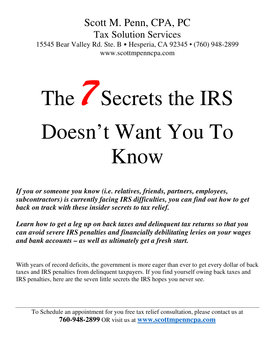Scott M. Penn, CPA, PC Tax Solution Services 15545 Bear Valley Rd. Ste. B • Hesperia, CA 92345 • (760) 948-2899 www.scottmpenncpa.com

## The *7* Secrets the IRS Doesn't Want You To Know

*If you or someone you know (i.e. relatives, friends, partners, employees, subcontractors) is currently facing IRS difficulties, you can find out how to get back on track with these insider secrets to tax relief.* 

*Learn how to get a leg up on back taxes and delinquent tax returns so that you can avoid severe IRS penalties and financially debilitating levies on your wages and bank accounts – as well as ultimately get a fresh start.*

With years of record deficits, the government is more eager than ever to get every dollar of back taxes and IRS penalties from delinquent taxpayers. If you find yourself owing back taxes and IRS penalties, here are the seven little secrets the IRS hopes you never see.

To Schedule an appointment for you free tax relief consultation, please contact us at **760-948-2899** OR visit us at **www.scottmpenncpa.com**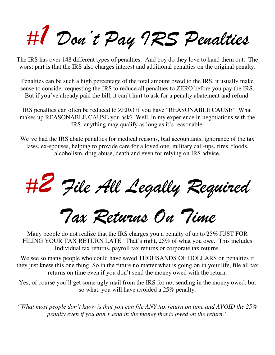*#1 Don't Pay IRS Penalties* 

The IRS has over 148 different types of penalties. And boy do they love to hand them out. The worst part is that the IRS also charges interest and additional penalties on the original penalty.

Penalties can be such a high percentage of the total amount owed to the IRS, it usually make sense to consider requesting the IRS to reduce all penalties to ZERO before you pay the IRS. But if you've already paid the bill, it can't hurt to ask for a penalty abatement and refund.

IRS penalties can often be reduced to ZERO if you have "REASONABLE CAUSE". What makes up REASONABLE CAUSE you ask? Well, in my experience in negotiations with the IRS, anything may qualify as long as it's reasonable.

We've had the IRS abate penalties for medical reasons, bad accountants, ignorance of the tax laws, ex-spouses, helping to provide care for a loved one, military call-ups, fires, floods, alcoholism, drug abuse, death and even for relying on IRS advice.

*#2 File All Legally Required* 

*Tax Returns On Time* 

Many people do not realize that the IRS charges you a penalty of up to 25% JUST FOR FILING YOUR TAX RETURN LATE. That's right, 25% of what you owe. This includes Individual tax returns, payroll tax returns or corporate tax returns.

We see so many people who could have saved THOUSANDS OF DOLLARS on penalties if they just knew this one thing. So in the future no matter what is going on in your life, file all tax returns on time even if you don't send the money owed with the return.

Yes, of course you'll get some ugly mail from the IRS for not sending in the money owed, but so what, you will have avoided a 25% penalty.

*"What most people don't know is that you can file ANY tax return on time and AVOID the 25% penalty even if you don't send in the money that is owed on the return."*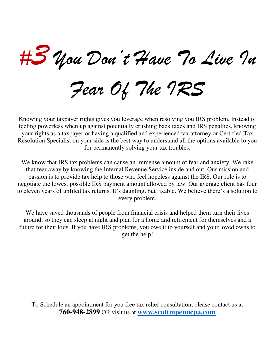*#3 You Don't Have To Live In* 

*Fear Of The IRS*

Knowing your taxpayer rights gives you leverage when resolving you IRS problem. Instead of feeling powerless when up against potentially crushing back taxes and IRS penalties, knowing your rights as a taxpayer or having a qualified and experienced tax attorney or Certified Tax Resolution Specialist on your side is the best way to understand all the options available to you for permanently solving your tax troubles.

We know that IRS tax problems can cause an immense amount of fear and anxiety. We rake that fear away by knowing the Internal Revenue Service inside and out. Our mission and passion is to provide tax help to those who feel hopeless against the IRS. Our role is to negotiate the lowest possible IRS payment amount allowed by law. Our average client has four to eleven years of unfiled tax returns. It's daunting, but fixable. We believe there's a solution to every problem.

We have saved thousands of people from financial crisis and helped them turn their lives around, so they can sleep at night and plan for a home and retirement for themselves and a future for their kids. If you have IRS problems, you owe it to yourself and your loved owns to get the help!

To Schedule an appointment for you free tax relief consultation, please contact us at **760-948-2899** OR visit us at **www.scottmpenncpa.com**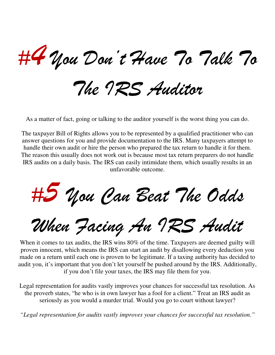*#4 You Don't Have To Talk To* 

*The IRS Auditor* 

As a matter of fact, going or talking to the auditor yourself is the worst thing you can do.

The taxpayer Bill of Rights allows you to be represented by a qualified practitioner who can answer questions for you and provide documentation to the IRS. Many taxpayers attempt to handle their own audit or hire the person who prepared the tax return to handle it for them. The reason this usually does not work out is because most tax return preparers do not handle IRS audits on a daily basis. The IRS can easily intimidate them, which usually results in an unfavorable outcome.

*#5 You Can Beat The Odds* 

*When Facing An IRS Audit*

When it comes to tax audits, the IRS wins 80% of the time. Taxpayers are deemed guilty will proven innocent, which means the IRS can start an audit by disallowing every deduction you made on a return until each one is proven to be legitimate. If a taxing authority has decided to audit you, it's important that you don't let yourself be pushed around by the IRS. Additionally, if you don't file your taxes, the IRS may file them for you.

Legal representation for audits vastly improves your chances for successful tax resolution. As the proverb states, "he who is in own lawyer has a fool for a client." Treat an IRS audit as seriously as you would a murder trial. Would you go to court without lawyer?

*"Legal representation for audits vastly improves your chances for successful tax resolution."*